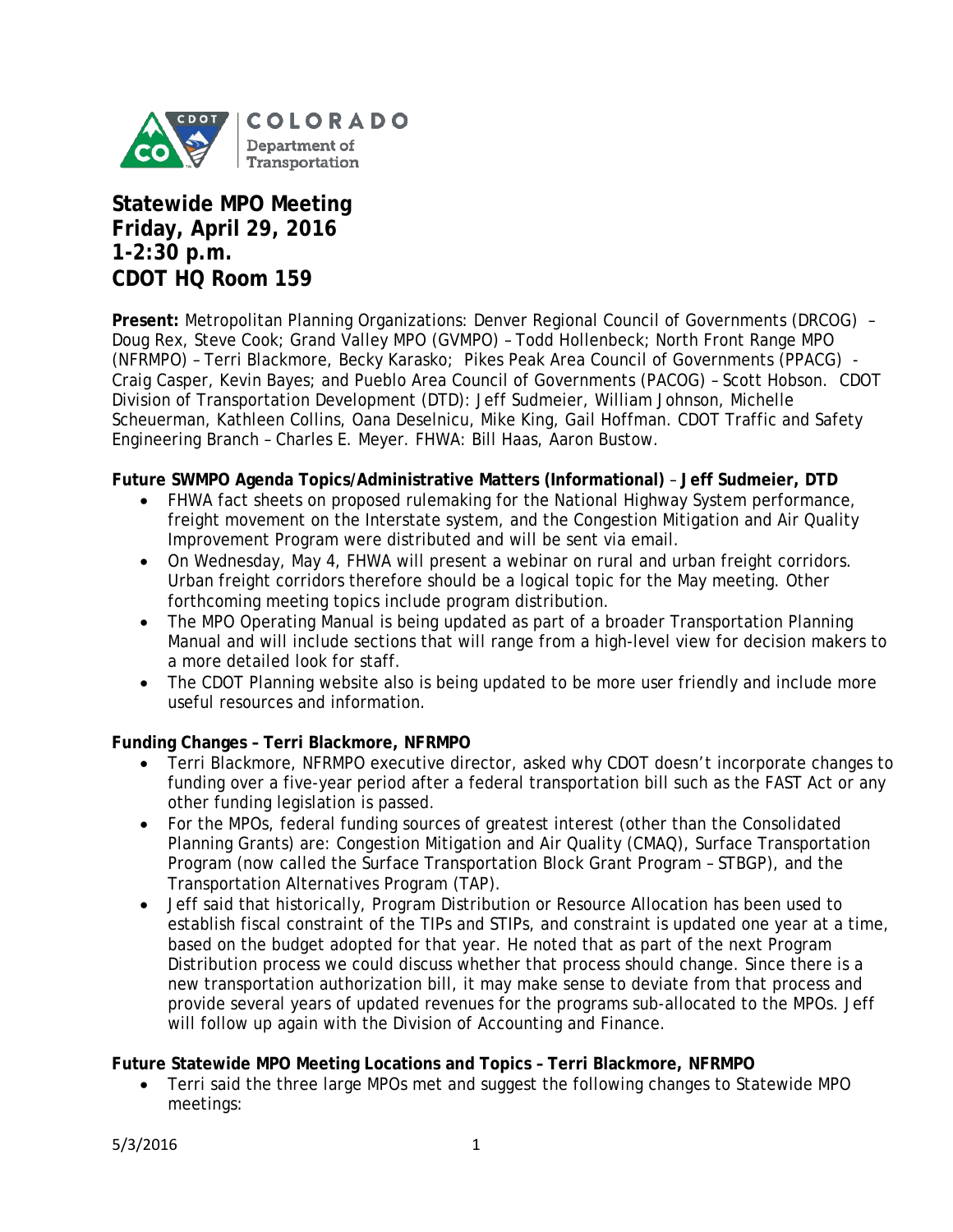

# **Statewide MPO Meeting Friday, April 29, 2016 1-2:30 p.m. CDOT HQ Room 159**

**Present:** Metropolitan Planning Organizations: Denver Regional Council of Governments (DRCOG) – Doug Rex, Steve Cook; Grand Valley MPO (GVMPO) – Todd Hollenbeck; North Front Range MPO (NFRMPO) – Terri Blackmore, Becky Karasko; Pikes Peak Area Council of Governments (PPACG) - Craig Casper, Kevin Bayes; and Pueblo Area Council of Governments (PACOG) – Scott Hobson. CDOT Division of Transportation Development (DTD): Jeff Sudmeier, William Johnson, Michelle Scheuerman, Kathleen Collins, Oana Deselnicu, Mike King, Gail Hoffman. CDOT Traffic and Safety Engineering Branch – Charles E. Meyer. FHWA: Bill Haas, Aaron Bustow.

## **Future SWMPO Agenda Topics/Administrative Matters (Informational)** – **Jeff Sudmeier, DTD**

- FHWA fact sheets on proposed rulemaking for the National Highway System performance, freight movement on the Interstate system, and the Congestion Mitigation and Air Quality Improvement Program were distributed and will be sent via email.
- On Wednesday, May 4, FHWA will present a webinar on rural and urban freight corridors. Urban freight corridors therefore should be a logical topic for the May meeting. Other forthcoming meeting topics include program distribution.
- The MPO Operating Manual is being updated as part of a broader Transportation Planning Manual and will include sections that will range from a high-level view for decision makers to a more detailed look for staff.
- The CDOT Planning website also is being updated to be more user friendly and include more useful resources and information.

# **Funding Changes – Terri Blackmore, NFRMPO**

- Terri Blackmore, NFRMPO executive director, asked why CDOT doesn't incorporate changes to funding over a five-year period after a federal transportation bill such as the FAST Act or any other funding legislation is passed.
- For the MPOs, federal funding sources of greatest interest (other than the Consolidated Planning Grants) are: Congestion Mitigation and Air Quality (CMAQ), Surface Transportation Program (now called the Surface Transportation Block Grant Program – STBGP), and the Transportation Alternatives Program (TAP).
- Jeff said that historically, Program Distribution or Resource Allocation has been used to establish fiscal constraint of the TIPs and STIPs, and constraint is updated one year at a time, based on the budget adopted for that year. He noted that as part of the next Program Distribution process we could discuss whether that process should change. Since there is a new transportation authorization bill, it may make sense to deviate from that process and provide several years of updated revenues for the programs sub-allocated to the MPOs. Jeff will follow up again with the Division of Accounting and Finance.

## **Future Statewide MPO Meeting Locations and Topics – Terri Blackmore, NFRMPO**

• Terri said the three large MPOs met and suggest the following changes to Statewide MPO meetings: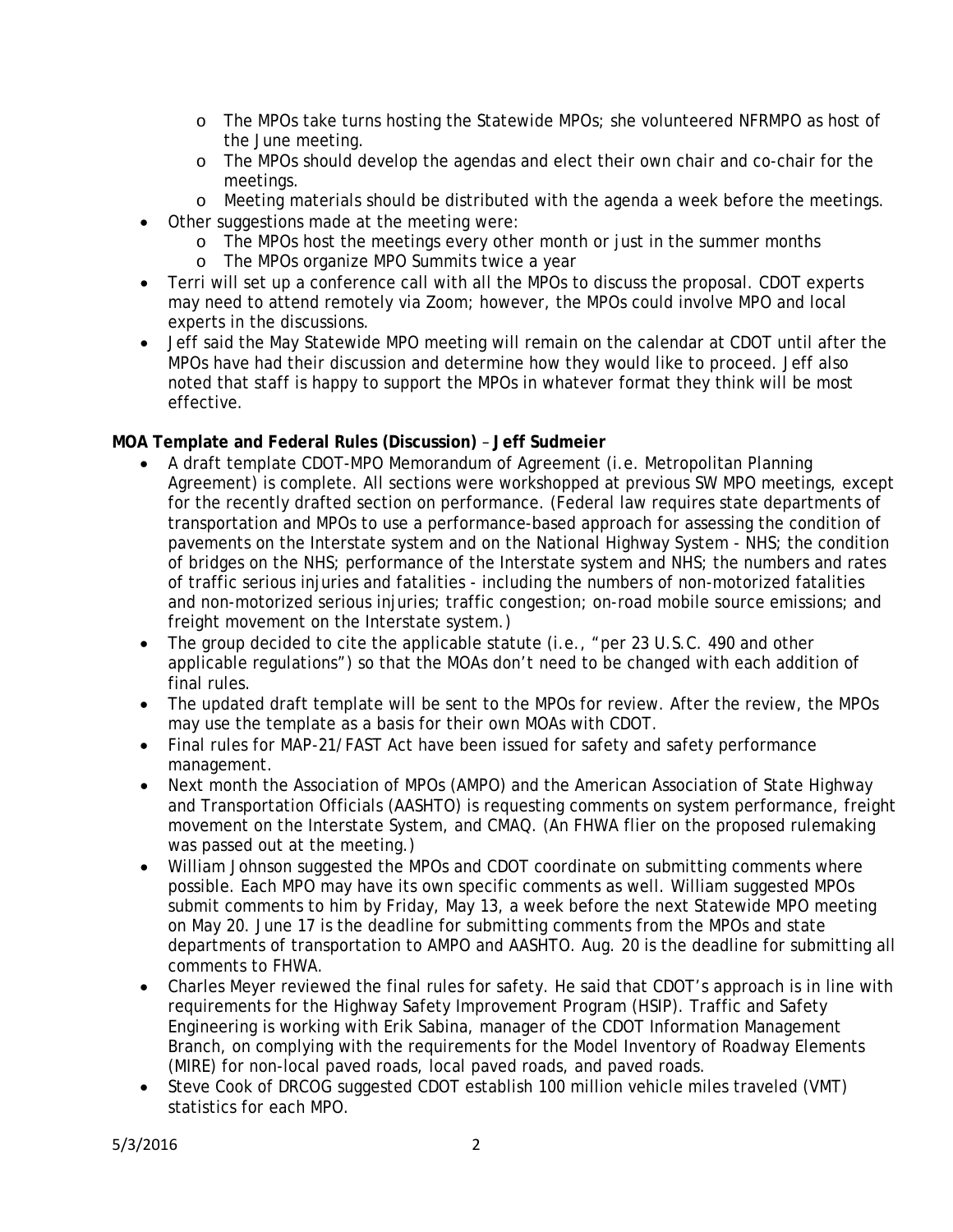- o The MPOs take turns hosting the Statewide MPOs; she volunteered NFRMPO as host of the June meeting.
- o The MPOs should develop the agendas and elect their own chair and co-chair for the meetings.
- o Meeting materials should be distributed with the agenda a week before the meetings.
- Other suggestions made at the meeting were:
	- o The MPOs host the meetings every other month or just in the summer months
	- o The MPOs organize MPO Summits twice a year
- Terri will set up a conference call with all the MPOs to discuss the proposal. CDOT experts may need to attend remotely via Zoom; however, the MPOs could involve MPO and local experts in the discussions.
- Jeff said the May Statewide MPO meeting will remain on the calendar at CDOT until after the MPOs have had their discussion and determine how they would like to proceed. Jeff also noted that staff is happy to support the MPOs in whatever format they think will be most effective.

# **MOA Template and Federal Rules (Discussion)** – **Jeff Sudmeier**

- A draft template CDOT-MPO Memorandum of Agreement (i.e. Metropolitan Planning Agreement) is complete. All sections were workshopped at previous SW MPO meetings, except for the recently drafted section on performance. (Federal law requires state departments of transportation and MPOs to use a performance-based approach for assessing the condition of pavements on the Interstate system and on the National Highway System - NHS; the condition of bridges on the NHS; performance of the Interstate system and NHS; the numbers and rates of traffic serious injuries and fatalities - including the numbers of non-motorized fatalities and non-motorized serious injuries; traffic congestion; on-road mobile source emissions; and freight movement on the Interstate system.)
- The group decided to cite the applicable statute (i.e., "per 23 U.S.C. 490 and other applicable regulations") so that the MOAs don't need to be changed with each addition of final rules.
- The updated draft template will be sent to the MPOs for review. After the review, the MPOs may use the template as a basis for their own MOAs with CDOT.
- Final rules for MAP-21/FAST Act have been issued for safety and safety performance management.
- Next month the Association of MPOs (AMPO) and the American Association of State Highway and Transportation Officials (AASHTO) is requesting comments on system performance, freight movement on the Interstate System, and CMAQ. (An FHWA flier on the proposed rulemaking was passed out at the meeting.)
- William Johnson suggested the MPOs and CDOT coordinate on submitting comments where possible. Each MPO may have its own specific comments as well. William suggested MPOs submit comments to him by Friday, May 13, a week before the next Statewide MPO meeting on May 20. June 17 is the deadline for submitting comments from the MPOs and state departments of transportation to AMPO and AASHTO. Aug. 20 is the deadline for submitting all comments to FHWA.
- Charles Meyer reviewed the final rules for safety. He said that CDOT's approach is in line with requirements for the Highway Safety Improvement Program (HSIP). Traffic and Safety Engineering is working with Erik Sabina, manager of the CDOT Information Management Branch, on complying with the requirements for the Model Inventory of Roadway Elements (MIRE) for non-local paved roads, local paved roads, and paved roads.
- Steve Cook of DRCOG suggested CDOT establish 100 million vehicle miles traveled (VMT) statistics for each MPO.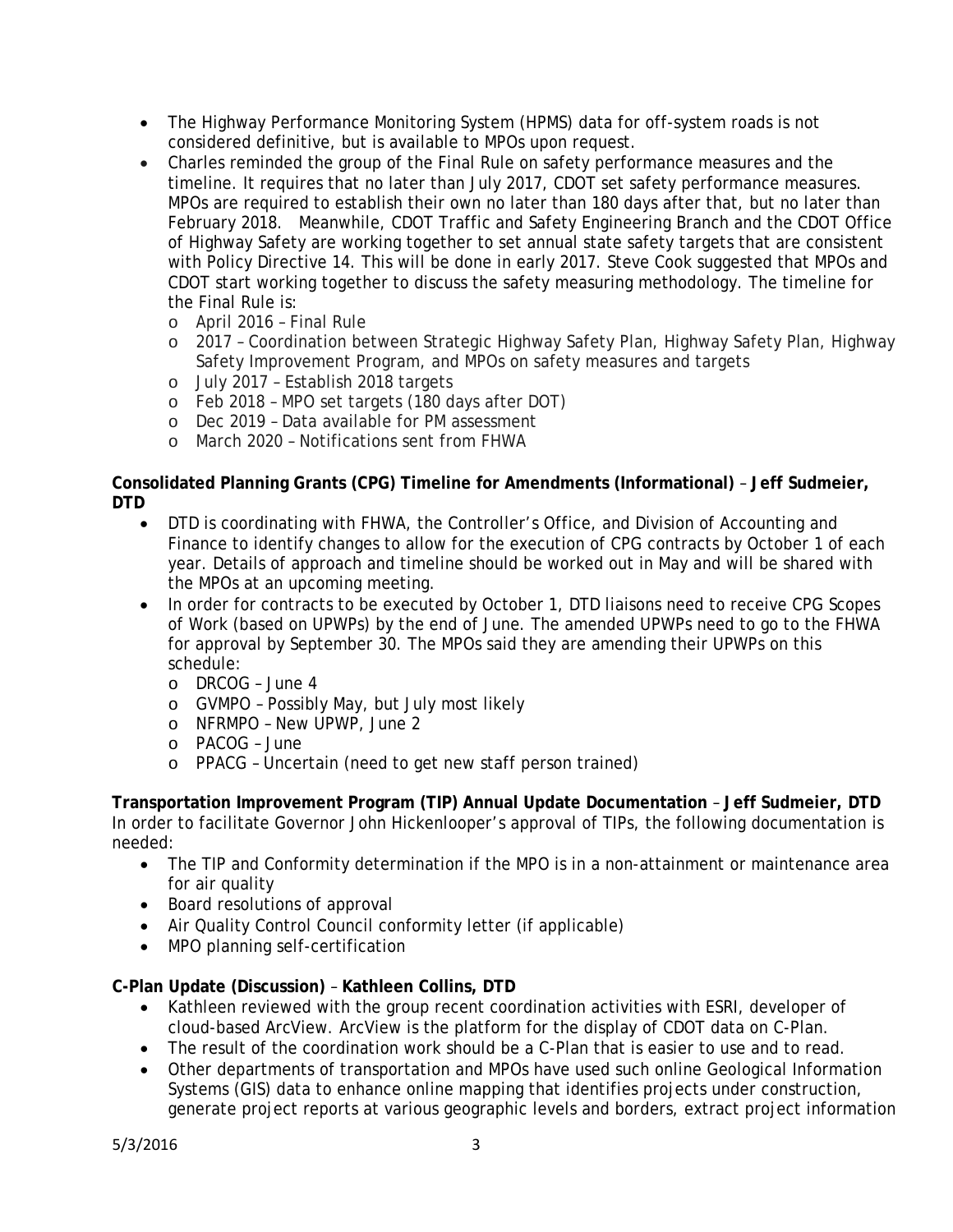- The Highway Performance Monitoring System (HPMS) data for off-system roads is not considered definitive, but is available to MPOs upon request.
- Charles reminded the group of the Final Rule on safety performance measures and the timeline. It requires that no later than July 2017, CDOT set safety performance measures. MPOs are required to establish their own no later than 180 days after that, but no later than February 2018. Meanwhile, CDOT Traffic and Safety Engineering Branch and the CDOT Office of Highway Safety are working together to set annual state safety targets that are consistent with Policy Directive 14. This will be done in early 2017. Steve Cook suggested that MPOs and CDOT start working together to discuss the safety measuring methodology. The timeline for the Final Rule is:
	- o April 2016 Final Rule
	- o 2017 Coordination between Strategic Highway Safety Plan, Highway Safety Plan, Highway Safety Improvement Program, and MPOs on safety measures and targets
	- o July 2017 Establish 2018 targets
	- o Feb 2018 MPO set targets (180 days after DOT)
	- o Dec 2019 Data available for PM assessment
	- o March 2020 Notifications sent from FHWA

## **Consolidated Planning Grants (CPG) Timeline for Amendments (Informational)** – **Jeff Sudmeier, DTD**

- DTD is coordinating with FHWA, the Controller's Office, and Division of Accounting and Finance to identify changes to allow for the execution of CPG contracts by October 1 of each year. Details of approach and timeline should be worked out in May and will be shared with the MPOs at an upcoming meeting.
- In order for contracts to be executed by October 1, DTD liaisons need to receive CPG Scopes of Work (based on UPWPs) by the end of June. The amended UPWPs need to go to the FHWA for approval by September 30. The MPOs said they are amending their UPWPs on this schedule:
	- o DRCOG June 4
	- o GVMPO Possibly May, but July most likely
	- o NFRMPO New UPWP, June 2
	- o PACOG June
	- o PPACG Uncertain (need to get new staff person trained)

**Transportation Improvement Program (TIP) Annual Update Documentation** – **Jeff Sudmeier, DTD**  In order to facilitate Governor John Hickenlooper's approval of TIPs, the following documentation is needed:

- The TIP and Conformity determination if the MPO is in a non-attainment or maintenance area for air quality
- Board resolutions of approval
- Air Quality Control Council conformity letter (if applicable)
- MPO planning self-certification

# **C-Plan Update (Discussion)** – **Kathleen Collins, DTD**

- Kathleen reviewed with the group recent coordination activities with ESRI, developer of cloud-based ArcView. ArcView is the platform for the display of CDOT data on C-Plan.
- The result of the coordination work should be a C-Plan that is easier to use and to read.
- Other departments of transportation and MPOs have used such online Geological Information Systems (GIS) data to enhance online mapping that identifies projects under construction, generate project reports at various geographic levels and borders, extract project information